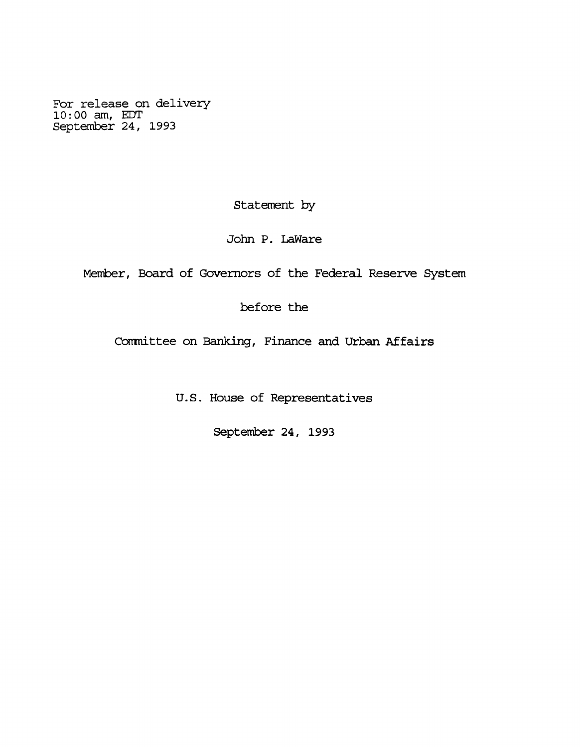**For release on delivery 10:00 am, EDT September 24, 1993**

**Statement by**

**John P. LaWare**

**Member, Board of Governors of the Federal Reserve System**

**before the**

**Committee on Banking, Finance and Urban Affairs**

**U.S. House of Representatives**

**September 24, 1993**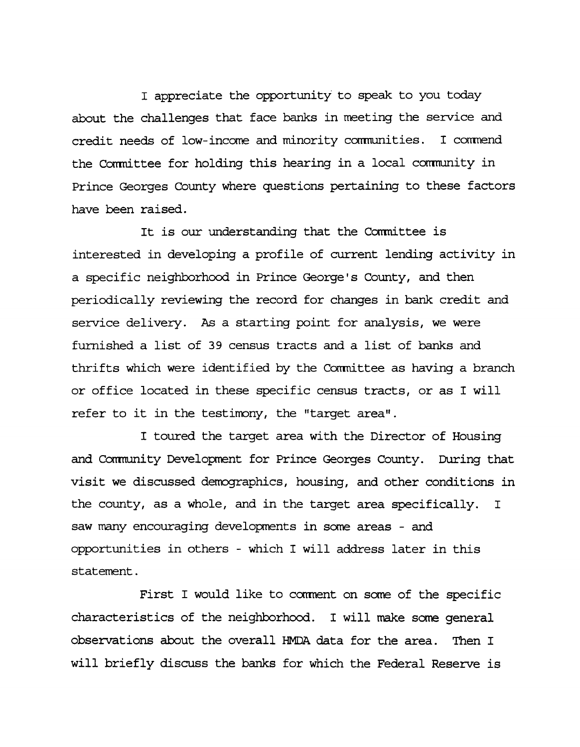**I appreciate the opportunity to speak to you today about the challenges that face banks in meeting the service and credit needs of low-income and minority communities. I commend the Carmittee for holding this hearing in a local comnunity in Prince Georges County where questions pertaining to these factors have been raised.**

**It is our understanding that the Comnittee is interested in developing a profile of current lending activity in a specific neighborhood in Prince George's County, and then periodically reviewing the record for changes in bank credit and service delivery. As a starting point for analysis, we were furnished a list of 39 census tracts and a list of banks and thrifts which were identified by the Corrmittee as having a branch or office located in these specific census tracts, or as I will refer to it in the testimony, the "target area".**

**I toured the target area with the Director of Housing and Community Development for Prince Georges County. During that visit we discussed demographics, housing, and other conditions in the county, as a whole, and in the target area specifically. I saw many encouraging developments in some areas - and opportunities in others - which I will address later in this statement.**

**First I would like to comment on some of the specific characteristics of the neighborhood. I will make some general observations about the overall HMDA. data for the area. Then I will briefly discuss the banks for which the Federal Reserve is**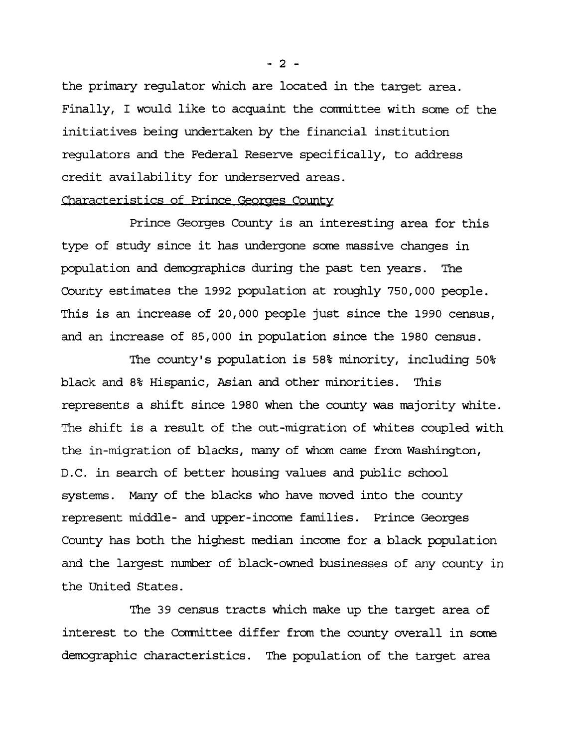**the primary regulator which are located in the target area. Finally, I would like to acquaint the committee with some of the initiatives being undertaken by the financial institution regulators and the Federal Reserve specifically, to address credit availability for underserved areas.**

### **Characteristics of Prince Georges County**

**Prince Georges County is an interesting area for this type of study since it has undergone some massive changes in population and demographics during the past ten years. The County estimates the 1992 population at roughly 750,000 people. This is an increase of 20,000 people just since the 1990 census, and an increase of 85,000 in population since the 1980 census.**

**The county's population is 58% minority, including 50% black and 8% Hispanic, Asian and other minorities. This represents a shift since 1980 when the county was majority white. The shift is a result of the out-migration of whites coupled with the in-migration of blacks, many of whom came from Washington, D.C. in search of better housing values and public school systems. Many of the blacks who have moved into the county represent middle- and upper-income families. Prince Georges County has both the highest median income for a black population and the largest number of black-owned businesses of any county in the United States.**

**The 39 census tracts which make up the target area of interest to the Corrmittee differ from the county overall in some demographic characteristics. The population of the target area**

**- 2 -**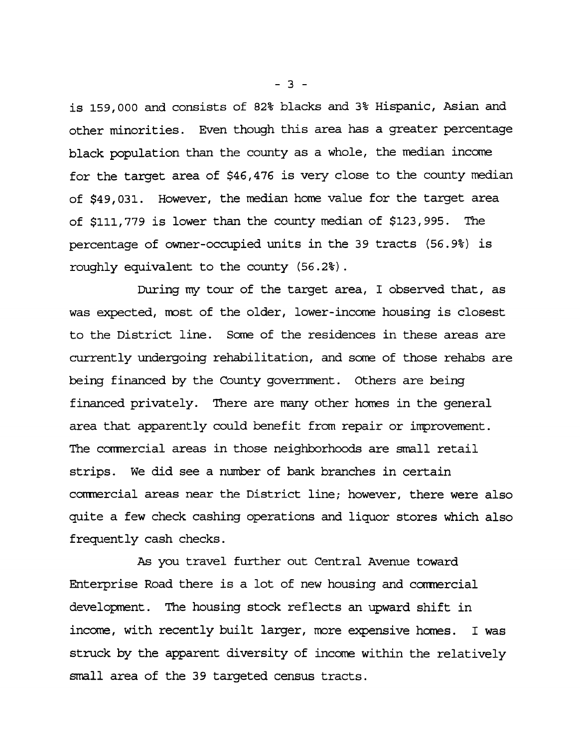**is 159,000 and consists of 82% blacks and 3% Hispanic, Asian and other minorities. Even though this area has a greater percentage black population than the county as a whole, the median income for the target area of \$46,476 is very close to the county median of \$49,031. However, the median home value for the target area of \$111,779 is lower than the county median of \$123,995. The percentage of owner-occupied units in the 39 tracts (56.9%) is roughly equivalent to the county (56.2%) .**

**During my tour of the target area, I observed that, as was expected, most of the older, lower-income housing is closest to the District line. Some of the residences in these areas are currently undergoing rehabilitation, and some of those rehabs are being financed by the County government. Others are being financed privately. There are many other homes in the general area that apparently could benefit from repair or improvement. The caimercial areas in those neighborhoods are small retail strips. We did see a number of bank branches in certain commercial areas near the District line; however, there were also quite a few check cashing operations and liquor stores which also frequently cash checks.**

**As you travel further out Central Avenue toward Enterprise Road there is a lot of new housing and commercial development. The housing stock reflects an upward shift in income, with recently built larger, more expensive homes. I was struck by the apparent diversity of income within the relatively small area of the 39 targeted census tracts.**

**- 3 -**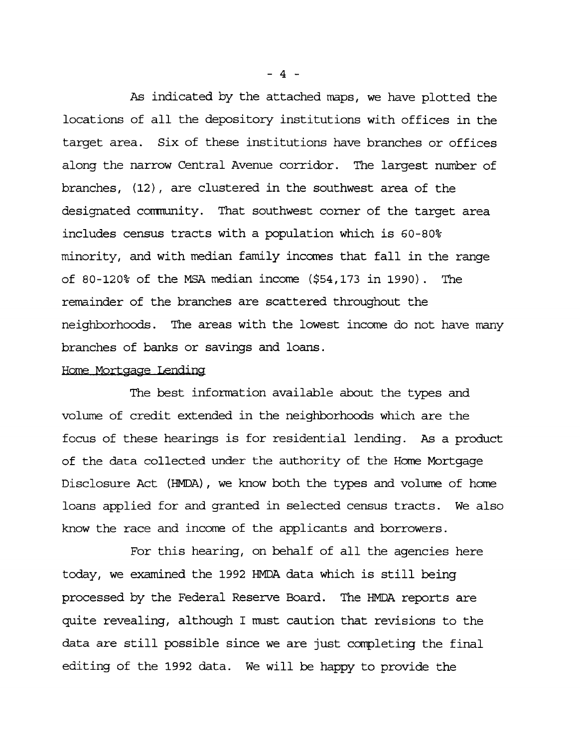**As indicated by the attached maps, we have plotted the locations of all the depository institutions with offices in the target area. Six of these institutions have branches or offices along the narrow Central Avenue corridor. The largest number of branches, (12), are clustered in the southwest area of the** designated community. That southwest corner of the target area **includes census tracts with a population which is 60-80% minority, and with median family incomes that fall in the range of 80-120% of the MSA median income (\$54,173 in 1990) . The remainder of the branches are scattered throughout the neighborhoods. The areas with the lowest income do not have many branches of banks or savings and loans.**

### **Hero Mortgage Lending**

**The best information available about the types and volume of credit extended in the neighborhoods which are the focus of these hearings is for residential lending. As a product of the data collected under the authority of the Home Mortgage Disclosure Act (HMDA), we know both the types and volume of home loans applied for and granted in selected census tracts. We also know the race and income of the applicants and borrowers.**

**For this hearing, on behalf of all the agencies here today, we examined the 1992 HMDA data which is still being processed by the Federal Reserve Board. The HMDA reports are quite revealing, although I must caution that revisions to the data are still possible since we are just completing the final editing of the 1992 data. We will be happy to provide the**

**- 4 -**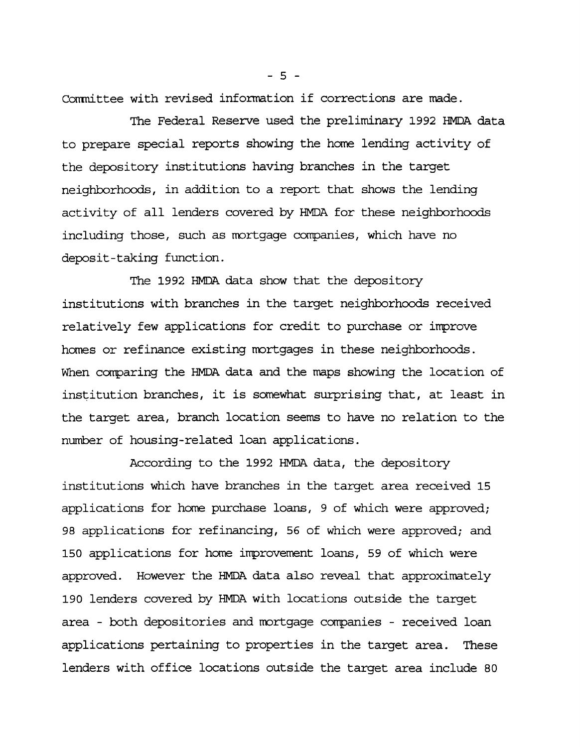**Cannittee with revised information if corrections are made.**

**The Federal Reserve used the preliminary 1992 HMDA. data to prepare special reports showing the home lending activity of the depository institutions having branches in the target neighborhoods, in addition to a report that shows the lending activity of all lenders covered by HMDA for these neighborhoods including those, such as mortgage companies, which have no deposit-taking function.**

**The 1992 HMDA data show that the depository institutions with branches in the target neighborhoods received relatively few applications for credit to purchase or irrprove homes or refinance existing mortgages in these neighborhoods. When comparing the HMDA data and the maps showing the location of institution branches, it is somewhat surprising that, at least in the target area, branch location seems to have no relation to the number of housing-related loan applications.**

**According to the 1992 HMDA data, the depository institutions which have branches in the target area received 15 applications for home purchase loans, 9 of which were approved; 98 applications for refinancing, 56 of which were approved; and 150 applications for home improvement loans, 59 of which were approved. However the HMDA data also reveal that approximately 190 lenders covered by HMDA with locations outside the target area - both depositories and mortgage companies - received loan applications pertaining to properties in the target area. These lenders with office locations outside the target area include 80**

**- 5 -**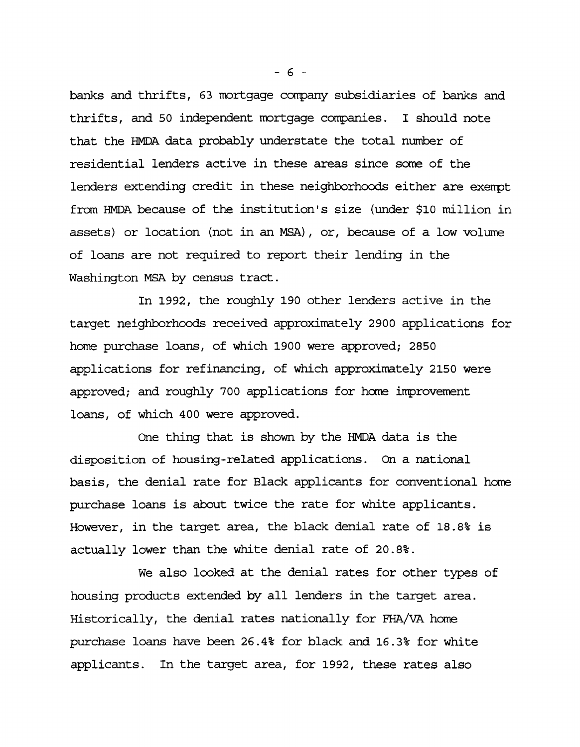**banks and thrifts, 63 mortgage company subsidiaries of banks and thrifts, and 50 independent mortgage companies. I should note that the HMDA data probably understate the total number of residential lenders active in these areas since some of the lenders extending credit in these neighborhoods either are exempt from HMDA because of the institution's size (under \$10 million in assets) or location (not in an MSA), or, because of a low volume of loans are not required to report their lending in the Washington MSA by census tract.**

**In 1992, the roughly 190 other lenders active in the target neighborhoods received approximately 2900 applications for home purchase loans, of which 1900 were approved; 2850 applications for refinancing, of which approximately 2150 were approved; and roughly 700 applications for home inprovement loans, of which 400 were approved.**

**One thing that is shown by the HMDA data is the disposition of housing-related applications. On a national basis, the denial rate for Black applicants for conventional home purchase loans is about twice the rate for white applicants. However, in the target area, the black denial rate of 18.8% is actually lower than the white denial rate of 20.8%.**

**We also looked at the denial rates for other types of housing products extended by all lenders in the target area. Historically, the denial rates nationally for FHA/VA home purchase loans have been 26.4% for black and 16.3% for white applicants. In the target area, for 1992, these rates also**

**- 6 -**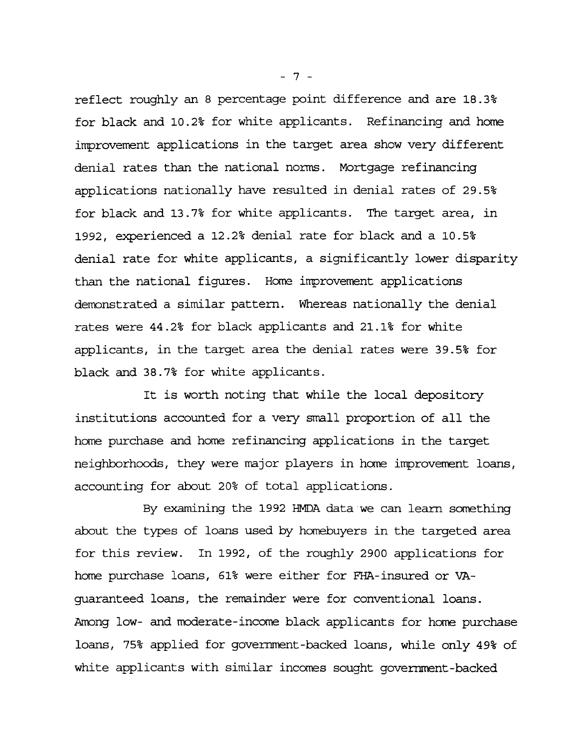**reflect roughly an 8 percentage point difference and are 18.3% for black and 10.2% for white applicants. Refinancing and home improvement applications in the target area show very different denial rates than the national norms. Mortgage refinancing applications nationally have resulted in denial rates of 29.5% for black and 13.7% for white applicants. The target area, in 1992, experienced a 12.2% denial rate for black and a 10.5% denial rate for white applicants, a significantly lower disparity than the national figures. Home improvement applications demonstrated a similar pattern. Whereas nationally the denial rates were 44.2% for black applicants and 21.1% for white applicants, in the target area the denial rates were 39.5% for black and 38.7% for white applicants.**

**It is worth noting that while the local depository institutions accounted for a very small proportion of all the home purchase and home refinancing applications in the target neighborhoods, they were major players in home improvement loans, accounting for about 20% of total applications.**

**By examining the 1992 HMDA data we can learn something about the types of loans used by homebuyers in the targeted area for this review. In 1992, of the roughly 2900 applications for home purchase loans, 61% were either for FHA-insured or VAguaranteed loans, the remainder were for conventional loans. Among low- and moderate-income black applicants for home purchase loans, 75% applied for government-backed loans, while only 49% of white applicants with similar incomes sought government-backed**

**- 7 -**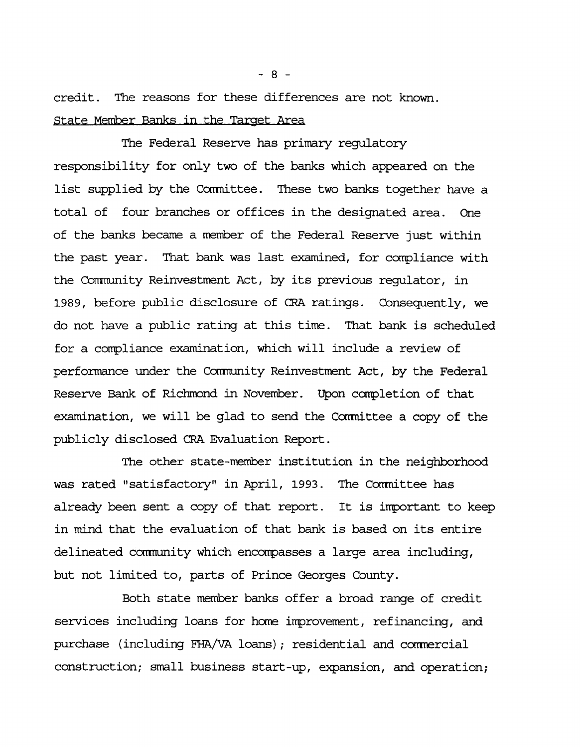**credit. The reasons for these differences are not known. State Member Banks in the Target Area**

**The Federal Reserve has primary regulatory responsibility for only two of the banks which appeared on the list supplied by the Conrmittee. These two banks together have a total of four branches or offices in the designated area. One of the banks became a member of the Federal Reserve just within the past year. That bank was last examined, for compliance with the Community Reinvestment Act, by its previous regulator, in 1989, before public disclosure of CRA ratings. Consequently, we do not have a public rating at this time. That bank is scheduled for a compliance examination, which will include a review of performance under the Comnunity Reinvestment Act, by the Federal Reserve Bank of Richmond in November. Upon completion of that examination, we will be glad to send the Conmittee a copy of the publicly disclosed CRA Evaluation Report.**

**The other state-member institution in the neighborhood was rated "satisfactory" in April, 1993. The Conrmittee has already been sent a copy of that report. It is important to keep in mind that the evaluation of that bank is based on its entire delineated comnunity which encompasses a large area including, but not limited to, parts of Prince Georges County.**

**Both state member banks offer a broad range of credit** services including loans for home improvement, refinancing, and **purchase (including FHA/VA loans); residential and commercial construction; small business start-up, expansion, and operation;**

**- 8 -**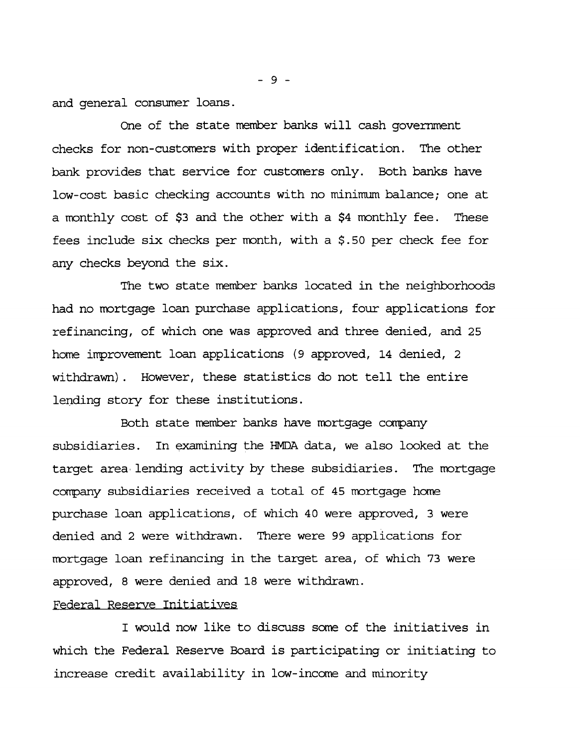**and general consumer loans.**

**One of the state member banks will cash government checks for non-customers with proper identification. The other bank provides that service for customers only. Both banks have low-cost basic checking accounts with no minimum balance; one at a monthly cost of \$3 and the other with a \$4 monthly fee. These fees include six checks per month, with a \$.50 per check fee for any checks beyond the six.**

**The two state member banks located in the neighborhoods had no mortgage loan purchase applications, four applications for refinancing, of which one was approved and three denied, and 25 home improvement loan applications (9 approved, 14 denied, 2 withdrawn). However, these statistics do not tell the entire lending story for these institutions.**

Both state member banks have mortgage company **subsidiaries. In examining the HMDA. data, we also looked at the target area' lending activity by these subsidiaries. The mortgage company subsidiaries received a total of 45 mortgage home purchase loan applications, of which 40 were approved, 3 were denied and 2 were withdrawn. There were 99 applications for mortgage loan refinancing in the target area, of which 73 were approved, 8 were denied and 18 were withdrawn.**

### **Federal Reserve Initiatives**

**I would now like to discuss some of the initiatives in which the Federal Reserve Board is participating or initiating to increase credit availability in low-income and minority**

**- 9 -**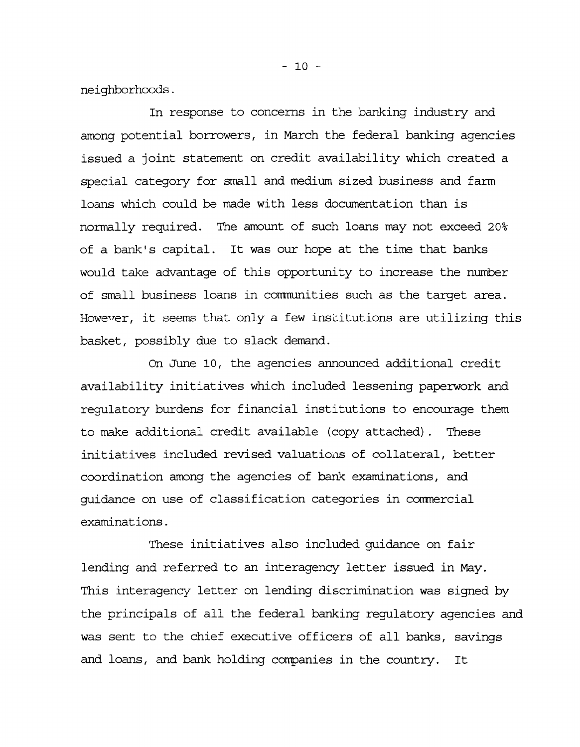**neighborhoods.**

**In response to concerns in the banking industry and among potential borrowers, in March the federal banking agencies issued a joint statement on credit availability which created a special category for small and medium sized business and farm loans which could be made with less documentation than is normally required. The amount of such loans may not exceed 20% of a bank's capital. It was our hope at the time that banks would take advantage of this opportunity to increase the number of small business loans in communities such as the target area. However, it seems that only a few institutions are utilizing this basket, possibly due to slack demand.**

**On June 10, the agencies announced additional credit availability initiatives which included lessening paperwork and regulatory burdens for financial institutions to encourage them to make additional credit available (copy attached). These initiatives included revised valuations of collateral, better coordination among the agencies of bank examinations, and guidance on use of classification categories in commercial examinations.**

**These initiatives also included guidance on fair lending and referred to an interagency letter issued in May. This interagency letter on lending discrimination was signed by the principals of all the federal banking regulatory agencies and was sent to the chief executive officers of all banks, savings and loans, and bank holding companies in the country. It**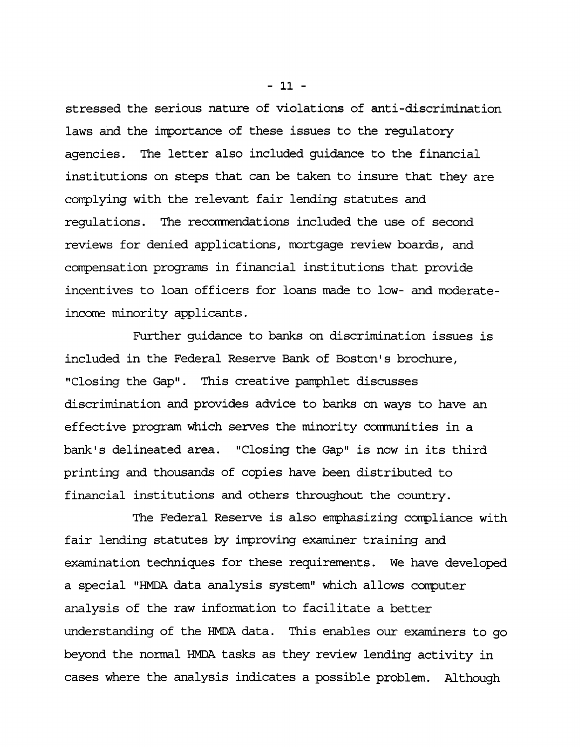**stressed the serious nature of violations of anti-discrimination laws and the importance of these issues to the regulatory agencies. The letter also included guidance to the financial institutions on steps that can be taken to insure that they are complying with the relevant fair lending statutes and regulations. The recommendations included the use of second reviews for denied applications, mortgage review boards, and compensation programs in financial institutions that provide incentives to loan officers for loans made to low- and moderateincome minority applicants.**

**Further guidance to banks on discrimination issues is included in the Federal Reserve Bank of Boston's brochure, "Closing the Gap". This creative pamphlet discusses discrimination and provides advice to banks on ways to have an effective program which serves the minority comnunities in a bank's delineated area. "Closing the Gap" is now in its third printing and thousands of copies have been distributed to financial institutions and others throughout the country.**

**The Federal Reserve is also emphasizing compliance with fair lending statutes by improving examiner training and examination techniques for these requirements. We have developed a special "HMDA data analysis system" which allows computer analysis of the raw information to facilitate a better understanding of the HMDA data. This enables our examiners to go beyond the normal HMDA tasks as they review lending activity in cases where the analysis indicates a possible problem. Although**

**- 11 -**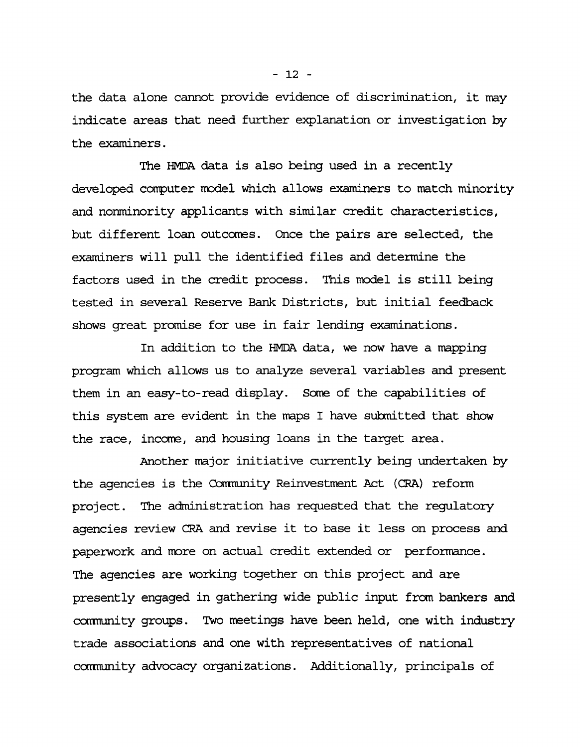**the data alone cannot provide evidence of discrimination, it may indicate areas that need further explanation or investigation by the examiners.**

**The HMDA data is also being used in a recently developed computer model which allows examiners to match minority and nonminority applicants with similar credit characteristics, but different loan outcomes. Once the pairs are selected, the examiners will pull the identified files and determine the factors used in the credit process. This model is still being tested in several Reserve Bank Districts, but initial feedback shows great promise for use in fair lending examinations.**

**In addition to the HMDA. data, we now have a mapping program which allows us to analyze several variables and present them in an easy-to-read display. Some of the capabilities of this system are evident in the maps I have submitted that show the race, income, and housing loans in the target area.**

**Another major initiative currently being undertaken by the agencies is the Cornnunity Reinvestment Act (CRA) reform project. The administration has requested that the regulatory agencies review CRA and revise it to base it less on process and paperwork and more on actual credit extended or performance. The agencies are working together on this project and are presently engaged in gathering wide public input from bankers and cornnunity groups. Two meetings have been held, one with industry trade associations and one with representatives of national community advocacy organizations. Additionally, principals of**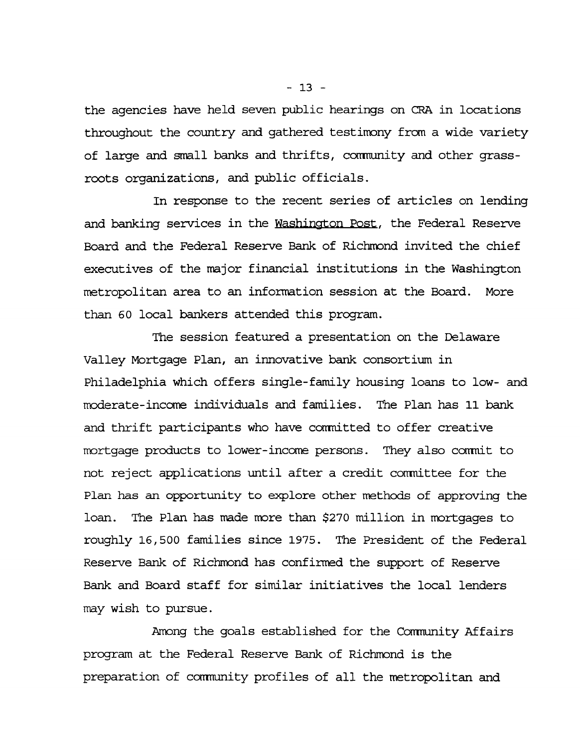**the agencies have held seven public hearings on CRA in locations throughout the country and gathered testimony from a wide variety** of large and small banks and thrifts, community and other grass**roots organizations, and public officials.**

**In response to the recent series of articles on lending and banking services in the Washington Post, the Federal Reserve Board and the Federal Reserve Bank of Richmond invited the chief executives of the major financial institutions in the Washington metropolitan area to an information session at the Board. More than 60 local bankers attended this program.**

**The session featured a presentation on the Delaware Valley Mortgage Plan, an innovative bank consortium in Philadelphia which offers single-family housing loans to low- and moderate-income individuals and families. The Plan has 11 bank and thrift participants who have comnitted to offer creative mortgage products to lower-income persons. They also conrmit to not reject applications until after a credit conrnittee for the Plan has an opportunity to explore other methods of approving the loan. The Plan has made more than \$270 million in mortgages to roughly 16,500 families since 1975. The President of the Federal Reserve Bank of Richmond has confirmed the support of Reserve Bank and Board staff for similar initiatives the local lenders may wish to pursue.**

Among the goals established for the Community Affairs **program at the Federal Reserve Bank of Richmond is the preparation of conmunity profiles of all the metropolitan and**

**- 13 -**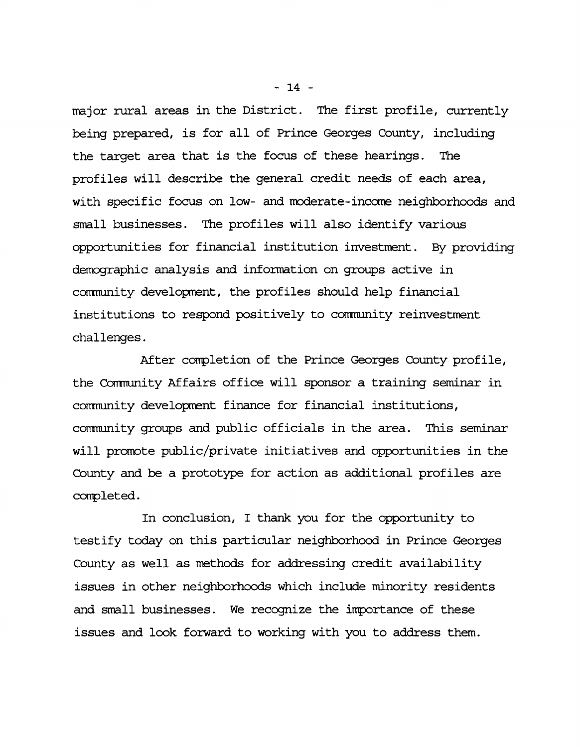**major rural areas in the District. The first profile, currently being prepared, is for all of Prince Georges County, including the target area that is the focus of these hearings. The profiles will describe the general credit needs of each area, with specific focus on low- and moderate-income neighborhoods and small businesses. The profiles will also identify various opportunities for financial institution investment. By providing demographic analysis and information on groups active in community development, the profiles should help financial institutions to respond positively to community reinvestment challenges.**

**After completion of the Prince Georges County profile, the Corrmunity Affairs office will sponsor a training seminar in comnunity development finance for financial institutions, comnunity groups and public officials in the area. This seminar will promote public/private initiatives and opportunities in the County and be a prototype for action as additional profiles are completed.**

**In conclusion, I thank you for the opportunity to testify today on this particular neighborhood in Prince Georges County as well as methods for addressing credit availability issues in other neighborhoods which include minority residents and small businesses. We recognize the importance of these issues and look forward to working with you to address them.**

**- 14 -**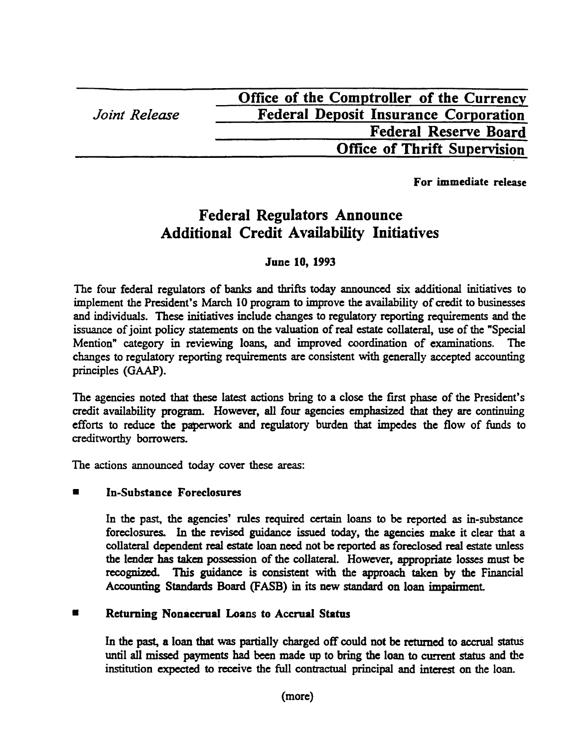|               | Office of the Comptroller of the Currency    |
|---------------|----------------------------------------------|
| Joint Release | <b>Federal Deposit Insurance Corporation</b> |
|               | <b>Federal Reserve Board</b>                 |
|               | <b>Office of Thrift Supervision</b>          |
|               |                                              |

For immediate release

# **Federal Regulators Announce Additional Credit Availability Initiatives**

# June 10, 1993

The four federal regulators of banks and thrifts today announced six additional initiatives to implement the President's March 10 program to improve the availability of credit to businesses and individuals. These initiatives include changes to regulatory reporting requirements and the issuance of joint policy statements on the valuation of real estate collateral, use of the "Special Mention" category in reviewing loans, and improved coordination of examinations. The changes to regulatory reporting requirements are consistent with generally accepted accounting principles (GAAP).

The agencies noted that these latest actions bring to a close the first phase of the President's credit availability program. However, all four agencies emphasized that they are continuing efforts to reduce the paperwork and regulatory burden that impedes the flow of funds to creditworthy borrowers.

The actions announced today cover these areas:

# In-Substance Foreclosures

In the past, the agencies' rules required certain loans to be reported as in-substance foreclosures. In the revised guidance issued today, the agencies make it clear that a collateral dependent real estate loan need not be reported as foreclosed real estate unless the lender has taken possession of the collateral. However, appropriate losses must be recognized. This guidance is consistent with the approach taken by the Financial Accounting Standards Board (FASB) in its new standard on loan impairment

# **■ Returning Nonaccrual Loans to Accrual Status**

In the past, a loan that was partially charged off could not be returned to accrual status until all missed payments had been made up to bring the loan to current status and the institution expected to receive the full contractual principal and interest on the loan.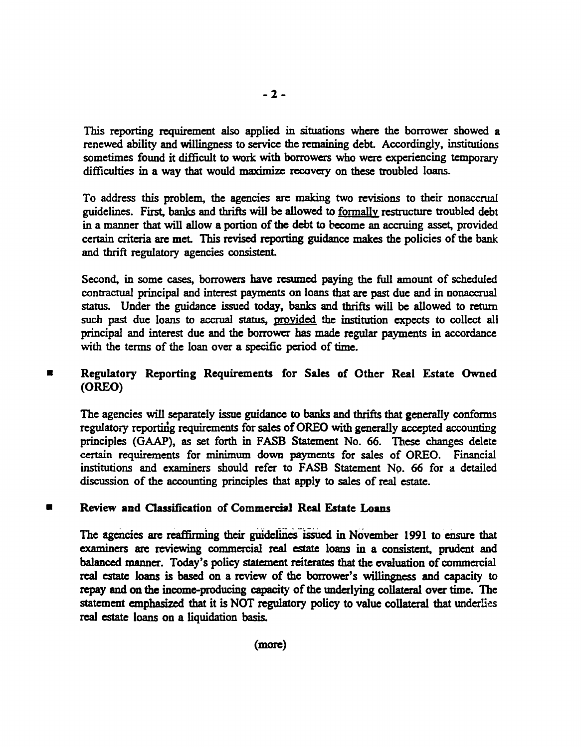This reporting requirement also applied in situations where the borrower showed a renewed ability and willingness to service the **remaining** debt Accordingly, institutions sometimes found it difficult to work with borrowers who were experiencing temporary difficulties in a way that would maximize recovery on these troubled loans.

To address this problem, the agencies are making two revisions to their nonaccrual guidelines. First, banks and thrifts will be allowed to formally restructure troubled debt in a manner that will allow a portion of the debt to become an accruing asset, provided certain criteria are met. This revised reporting guidance makes the policies of the bank and thrift regulatory agencies consistent

Second, in some cases, borrowers have resumed paying the full amount of scheduled contractual principal and interest payments on loans that are past due and in nonaccrual status. Under the guidance issued today, banks and thrifts will be allowed to return such past due loans to accrual status, provided the institution expects to collect all principal and interest due and the borrower has made regular payments in accordance with the terms of the loan over a specific period of time.

#### 8 **Regulatory Reporting Requirements for Sales of Other Real Estate Owned (OREO)**

The agencies will separately issue guidance to banks and thrifts that generally conforms regulatory reporting requirements for sales of OREO with generally accepted accounting principles (GAAP), as set forth in FASB Statement No. 66. These changes delete certain requirements for minimum down payments for sales of OREO. Financial institutions and examiners should refer to FASB Statement No. 66 for a detailed discussion of the accounting principles that apply to sales of real estate.

#### **Review and Classification of Commercial Real Estate Loans**  $\blacksquare$

The agencies are reaffirming their guidelines issued in November 1991 to ensure that examiners are reviewing commercial real estate loans in a consistent, prudent and balanced manner. Today's policy statement reiterates that the evaluation of commercial real estate loans is based on a review of the borrower's willingness and capacity to repay and on the income-producing capacity of the underlying collateral over time. The statement emphasized that it is NOT regulatory policy to value collateral that underlies real estate loans on a liquidation basis.

(more)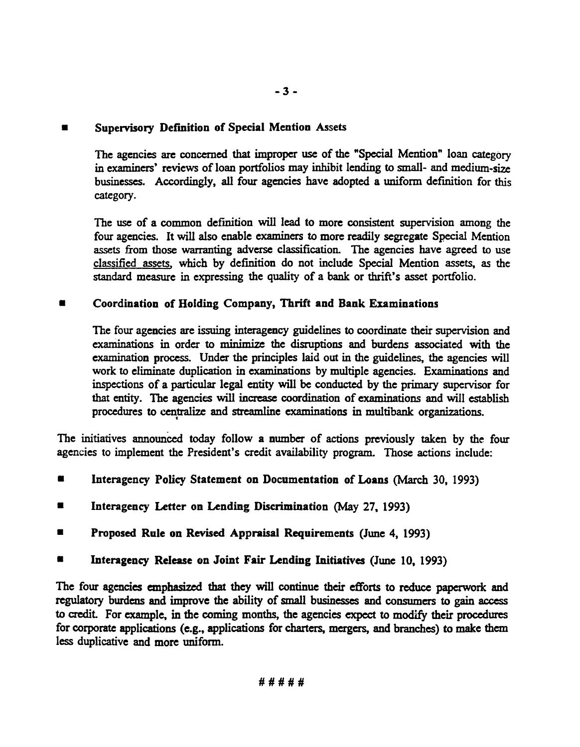## ■ Supervisory Definition of Special Mention Assets

The agencies are concerned that improper use of the "Special Mention" loan category in examiners' reviews of loan portfolios may inhibit lending to small- and medium-size businesses. Accordingly, all four agencies have adopted a uniform definition for this category.

The use of a common definition will lead to more consistent supervision among the four agencies. It will also enable examiners to more readily segregate Special Mention assets from those warranting adverse classification. The agencies have agreed to use classified assets, which by definition do not include Special Mention assets, as the standard measure in expressing the quality of a bank or thrift's asset portfolio.

## ■ Coordination of Holding Company, Thrift and Bank Examinations

The four agencies are issuing interagency guidelines to coordinate their supervision and examinations in order to minimize the disruptions and burdens associated with the examination process. Under the principles laid out in the guidelines, the agencies will work to eliminate duplication in examinations by multiple agencies. Examinations and inspections of a particular legal entity will be conducted by the primary supervisor for that entity. The agencies will increase coordination of examinations and will establish procedures to centralize and streamline examinations in multibank organizations.

The initiatives announced today follow a number of actions previously taken by the four agencies to implement the President's credit availability program. Those actions include:

- Interagency Policy Statement on Documentation of Loans (March 30, 1993)
- Interagency Letter on Lending Discrimination (May 27, 1993)
- Proposed Rule on Revised Appraisal Requirements (June 4, 1993)
- Interagency Release on Joint Fair Lending Initiatives (June 10, 1993)

The four agencies emphasized that they will continue their efforts to reduce paperwork and regulatory burdens and improve the ability of small businesses and consumers to gain access to credit. For example, in the coming months, the agencies expect to modify their procedures for corporate applications (e.g., applications for charters, mergers, and branches) to make diem less duplicative and more uniform.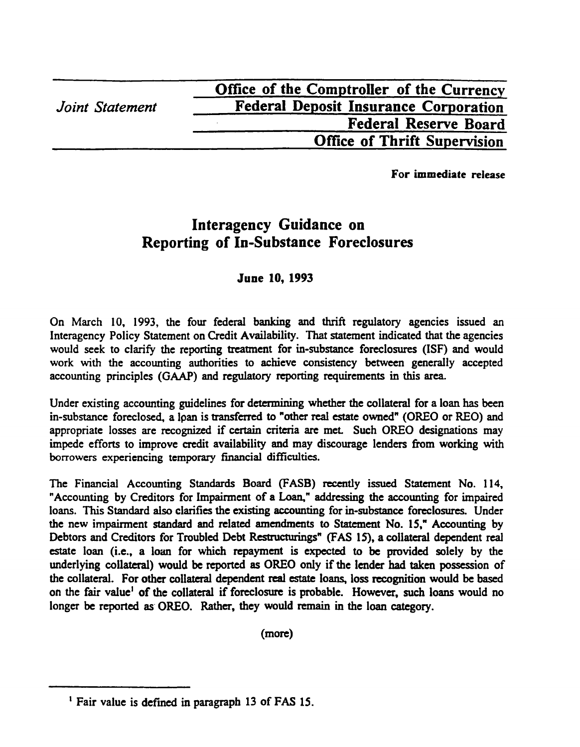**For immediate release**

# **Interagency Guidance on Reporting of In-Substance Foreclosures**

# **June 10, 1993**

On March 10, 1993, the four federal banking and thrift regulatory agencies issued an Interagency Policy Statement on Credit Availability. That statement indicated that the agencies would seek to clarify the reporting treatment for in-substance foreclosures (ISF) and would work with the accounting authorities to achieve consistency between generally accepted accounting principles (GAAP) and regulatory reporting requirements in this area.

Under existing accounting guidelines for determining whether the collateral for a loan has been in-substance foreclosed, a lpan is transferred to "other real estate owned" (OREO or REO) and appropriate losses are recognized if certain criteria are met. Such OREO designations may impede efforts to improve credit availability and may discourage lenders from working with **borrowers** experiencing temporary financial difficulties.

The Financial Accounting Standards Board (FASB) recently issued Statement No. 114, "Accounting by Creditors for Impairment of a Loan," addressing the accounting for impaired loans. This Standard also clarifies the existing accounting for in-substance foreclosures. Under the new impairment standard and related amendments to Statement No. IS," Accounting by Debtors and Creditors for Troubled Debt Restructurings" (FAS 15), a collateral dependent real estate loan (i.e., a loan for which repayment is expected to be provided solely by the underlying collateral) would be reported as OREO only if the lender had taken possession of the collateral. For other collateral dependent real estate loans, loss recognition would be based on the fair value<sup>1</sup> of the collateral if foreclosure is probable. However, such loans would no longer be reported as OREO. Rather, they would remain in the loan category.

(more)

<sup>&</sup>lt;sup>1</sup> Fair value is defined in paragraph 13 of FAS 15.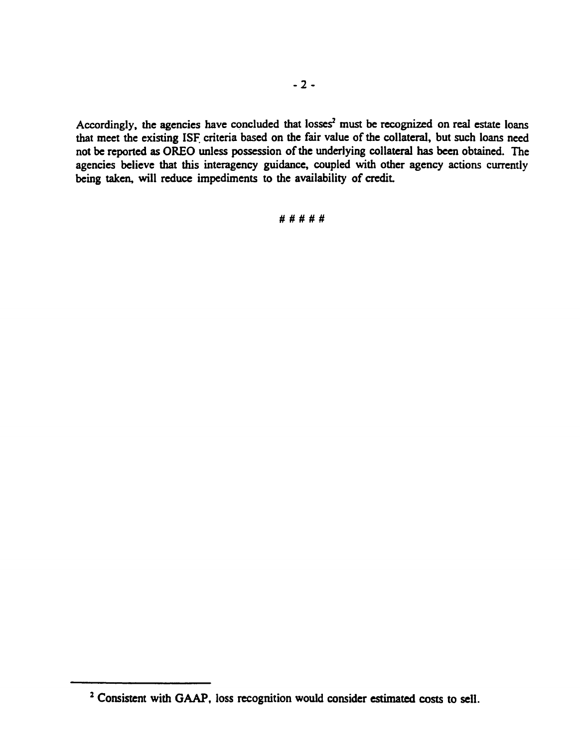Accordingly, the agencies have concluded that losses<sup>2</sup> must be recognized on real estate loans that meet the existing ISF criteria based on the fair value of the collateral, but such loans need not be reported as OREO unless possession of the underlying collateral has been obtained. The agencies believe that this interagency guidance, coupled with other agency actions currently being taken, will reduce impediments to the availability of credit

## **# # # # #**

<sup>&</sup>lt;sup>2</sup> Consistent with GAAP, loss recognition would consider estimated costs to sell.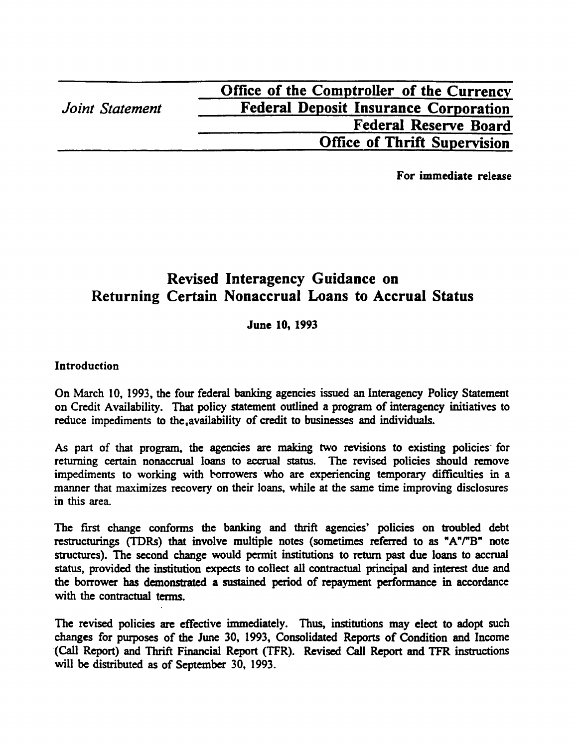|                 | Office of the Comptroller of the Currency    |
|-----------------|----------------------------------------------|
| Joint Statement | <b>Federal Deposit Insurance Corporation</b> |
|                 | <b>Federal Reserve Board</b>                 |
|                 | <b>Office of Thrift Supervision</b>          |
|                 |                                              |

For immediate release

# **Revised Interagency Guidance on Returning Certain Nonaccrual Loans to Accrual Status**

### June 10, 1993

### **Introduction**

On March 10, 1993, the four federal banking agencies issued an Interagency Policy Statement on Credit Availability. That policy statement outlined a program of interagency initiatives to reduce impediments to the,availability of credit to businesses and individuals.

As part of that program, the agencies are making two revisions to existing policies for returning certain nonaccrual loans to accrual status. The revised policies should remove impediments to working with borrowers who are experiencing temporary difficulties in a manner that maximizes recovery on their loans, while at the same time improving disclosures in this area.

The first change conforms the banking and thrift agencies' policies on troubled debt restructurings (TDRs) that involve multiple notes (sometimes referred to as "A"/"B" note structures). The second change would permit institutions to return past due loans to accrual status, provided the institution expects to collect all contractual principal and interest due and the borrower has demonstrated a sustained period of repayment performance in accordance with the contractual terms.

The revised policies are effective immediately. Thus, institutions may elect to adopt such changes for purposes of the June 30, 1993, Consolidated Reports of Condition and Income (Call Report) and Thrift Financial Report (TFR). Revised Call Report and TFR instructions will be distributed as of September 30, 1993.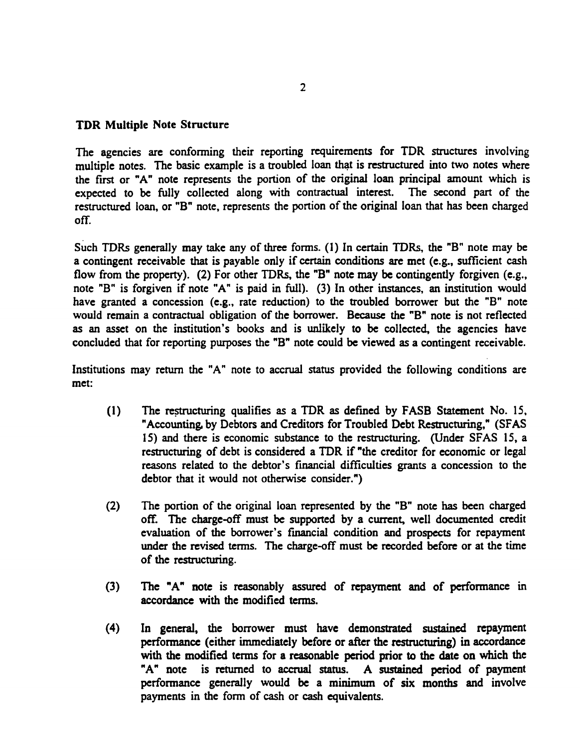### **TDR Multiple Note Structure**

The agencies are conforming their reporting requirements for TDR structures involving multiple notes. The basic example is a troubled loan that is restructured into two notes where the first or "A" note represents the portion of the original loan principal amount which is expected to be fully collected along with contractual interest. The second part of the restructured loan, or "B" note, represents the portion of the original loan that has been charged off.

Such TDRs generally may take any of three forms. (1) In certain TDRs, the "B" note may be a contingent receivable that is payable only if certain conditions are met (e.g., sufficient cash flow from the property). (2) For other TDRs, the "B" note may be contingently forgiven (e.g., note "B" is forgiven if note "A" is paid in full). (3) In other instances, an institution would have granted a concession (e.g., rate reduction) to the troubled borrower but the "B" note would remain a contractual obligation of the borrower. Because the "B" note is not reflected as an asset on the institution's books and is unlikely to be collected, the agencies have concluded that for reporting purposes the "B" note could be viewed as a contingent receivable.

Institutions may return the "A" note to accrual status provided the following conditions are met:

- (1) The restructuring qualifies as a TDR as defined by FASB Statement No. 15, "Accounting, by Debtors and Creditors for Troubled Debt Restructuring," (SFAS 15) and there is economic substance to the restructuring. (Under SFAS 15, a restructuring of debt is considered a TDR if "the creditor for economic or legal reasons related to the debtor's financial difficulties grants a concession to the debtor that it would not otherwise consider.")
- (2) The portion of the original loan represented by the "B" note has been charged off. The charge-off must be supported by a current, well documented credit evaluation of the borrower's financial condition and prospects for repayment under the revised terms. The charge-off must be recorded before or at the time of the restructuring.
- (3) The "A" note is reasonably assured of repayment and of performance in accordance with the modified terms.
- (4) In general, the borrower must have demonstrated sustained repayment performance (either immediately before or after the restructuring) in accordance with the modified terms for a reasonable period prior to the date on which the "A" note is returned to accrual status. A sustained period of payment performance generally would be a minimum of six months and involve payments in the form of cash or cash equivalents.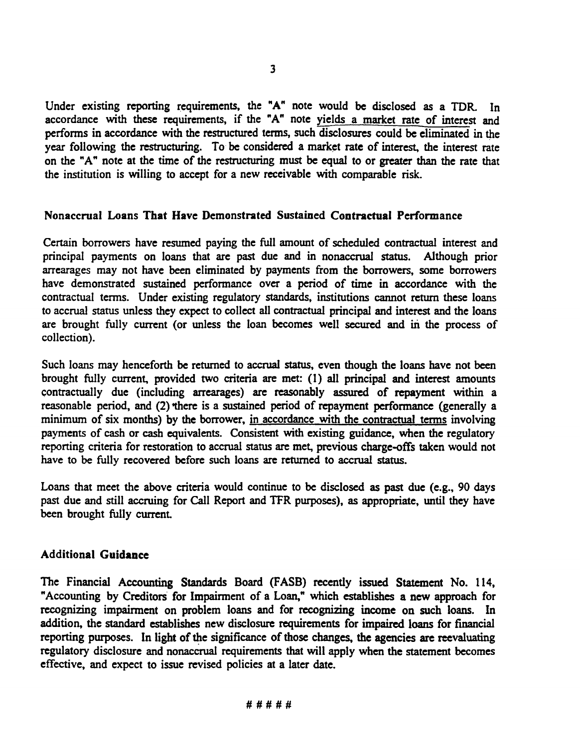Under existing reporting requirements, the "A" note would be disclosed as a TDR. In accordance with these requirements, if the "A" note yields a market rate of interest and performs in accordance with the restructured terms, such disclosures could be eliminated in the year following the restructuring. To be considered a market rate of interest, the interest rate on the "A" note at the time of the restructuring must be equal to or greater than the rate that the institution is willing to accept for a new receivable with comparable risk.

### Nonaccrual Loans That Have Demonstrated Sustained Contractual Performance

Certain borrowers have resumed paying the full amount of scheduled contractual interest and principal payments on loans that are past due and in nonaccrual status. Although prior arrearages may not have been eliminated by payments from the borrowers, some borrowers have demonstrated sustained performance over a period of time in accordance with the contractual terms. Under existing regulatory standards, institutions cannot return these loans to accrual status unless they expect to collect all contractual principal and interest and the loans are brought fully current (or unless the loan becomes well secured and in the process of collection).

Such loans may henceforth be returned to accrual status, even though the loans have not been brought fully current, provided two criteria are met: (1) all principal and interest amounts contractually due (including arrearages) are reasonably assured of repayment within a reasonable period, and (2) there is a sustained period of repayment performance (generally a minimum of six months) by the borrower, in accordance with the contractual terms involving payments of cash or cash equivalents. Consistent with existing guidance, when the regulatory reporting criteria for restoration to accrual status are met, previous charge-offs taken would not have to be fully recovered before such loans are returned to accrual status.

Loans that meet the above criteria would continue to be disclosed as past due (e.g., 90 days past due and still accruing for Call Report and TFR purposes), as appropriate, until they have been brought fully current

## Additional Guidance

The Financial Accounting Standards Board (FASB) recently issued Statement No. 114, "Accounting by Creditors for Impairment of a Loan," which establishes a new approach for recognizing impairment on problem loans and for recognizing income on such loans. In addition, the standard establishes new disclosure requirements for impaired loans for financial reporting purposes. In light of the significance of those changes, the agencies are reevaluating regulatory disclosure and nonaccrual requirements that will apply when the statement becomes effective, and expect to issue revised policies at a later date.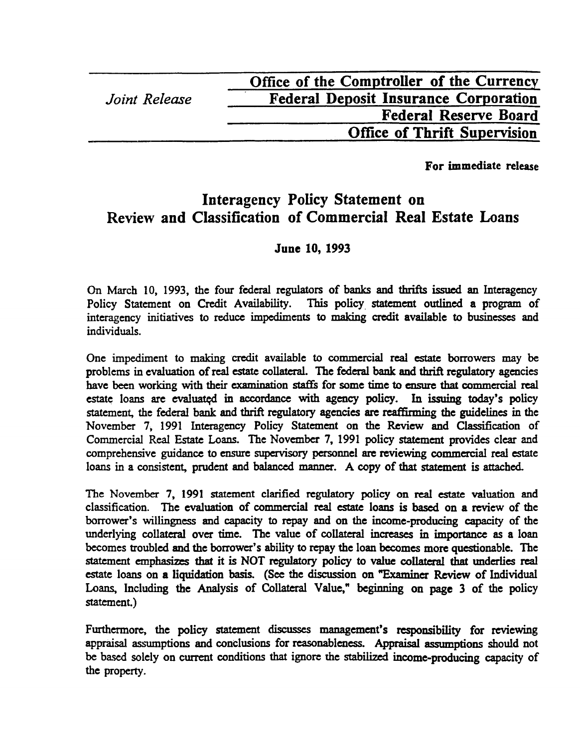| Office of the Comptroller of the Currency    |
|----------------------------------------------|
| <b>Federal Deposit Insurance Corporation</b> |
| <b>Federal Reserve Board</b>                 |
| <b>Office of Thrift Supervision</b>          |
|                                              |

**For immediate release**

# **Interagency Policy Statement on Review and Classification of Commercial Real Estate Loans**

# **June 10, 1993**

On March 10, 1993, the four federal regulators of banks and thrifts issued an Interagency Policy Statement on Credit Availability. This policy statement outlined a program of interagency initiatives to reduce impediments to making credit available to businesses and individuals.

One impediment to making credit available to commercial real estate borrowers may be problems in evaluation of real estate collateral. The federal bank and thrift regulatory agencies have been working with their examination staffs for some time to ensure that commercial real estate loans are evaluated in accordance with agency policy. In issuing today's policy statement, the federal bank and thrift regulatory agencies are reaffirming the guidelines in the November 7, 1991 Interagency Policy Statement on the Review and Classification of Commercial Real Estate Loans. The November 7, 1991 policy statement provides clear and comprehensive guidance to ensure supervisory personnel are reviewing commercial real estate loans in a consistent, prudent and balanced manner. A copy of that statement is attached.

The November 7, 1991 statement clarified regulatory policy on real estate valuation and classification. The evaluation of commercial real estate loans is based on a review of the borrower's willingness and capacity to repay and on the income-producing capacity of the underlying collateral over time. The value of collateral increases in importance as a loan becomes troubled and the borrower's ability to repay the loan becomes more questionable. The statement emphasizes that it is NOT regulatory policy to value collateral that underlies real estate loans on a liquidation basis. (See the discussion on "Examiner Review of Individual Loans, Including the Analysis of Collateral Value," beginning on page 3 of the policy statement.)

Furthermore, the policy statement discusses management's responsibility for reviewing appraisal assumptions and conclusions for reasonableness. Appraisal assumptions should not be based solely on current conditions that ignore the stabilized income-producing capacity of the property.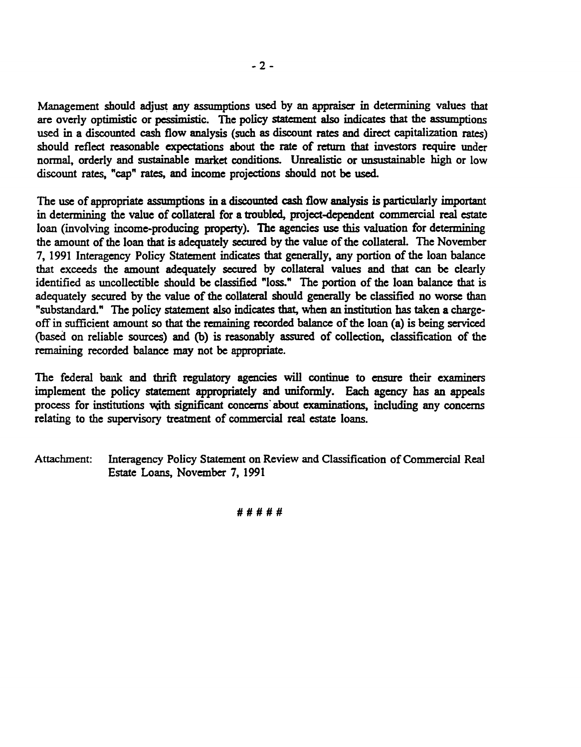Management should adjust any assumptions used by an appraiser in determining values that are overly optimistic or pessimistic. The policy statement also indicates that the assumptions used in a discounted cash flow analysis (such as discount rates and direct capitalization rates) should reflect reasonable expectations about the rate of return that investors require under normal, orderly and sustainable market conditions. Unrealistic or unsustainable high or low discount rates, "cap" rates, and income projections should not be used.

The use of appropriate assumptions in a discounted cash flow analysis is particularly important in determining the value of collateral for a troubled, project-dependent commercial real estate loan (involving income-producing property). The agencies use this valuation for determining the amount of the loan that is adequately secured by the value of the collateral. The November 7, 1991 Interagency Policy Statement indicates that generally, any portion of the loan balance that exceeds the amount adequately secured by collateral values and that can be clearly identified as uncollectible should be classified "loss." The portion of the loan balance that is adequately secured by the value of the collateral should generally be classified no worse than "substandard." The policy statement also indicates that, when an institution has taken a chargeoff in sufficient amount so that the remaining recorded balance of the loan (a) is being serviced (based on reliable sources) and (b) is reasonably assured of collection, classification of the remaining recorded balance may not be appropriate.

The federal bank and thrift regulatory agencies will continue to ensure their examiners implement the policy statement appropriately and uniformly. Each agency has an appeals process for institutions with significant concerns about examinations, including any concerns relating to the supervisory treatment of commercial real estate loans.

Attachment: Interagency Policy Statement on Review and Classification of Commercial Real Estate Loans, November 7, 1991

**#####**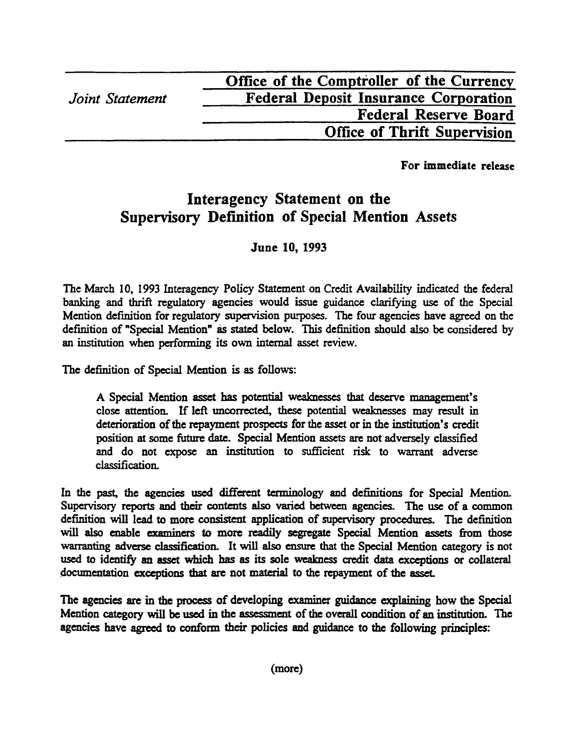|                 | Office of the Comptroller of the Currency    |
|-----------------|----------------------------------------------|
| Joint Statement | <b>Federal Deposit Insurance Corporation</b> |
|                 | <b>Federal Reserve Board</b>                 |
|                 | <b>Office of Thrift Supervision</b>          |

For immediate release

# **Interagency Statement on the Supervisory Definition of Special Mention Assets**

# **June 10, 1993**

The March 10, 1993 Interagency Policy Statement on Credit Availability indicated the federal banking and thrift regulatory agencies would issue guidance clarifying use of the Special Mention definition for regulatory supervision purposes. The four agencies have agreed on the definition of "Special Mention" as stated below. This definition should also be considered by an institution when performing its own internal asset review.

The definition of Special Mention is as follows:

A Special Mention asset has potential weaknesses that deserve management's close attention. If left uncorrected, these potential weaknesses may result in deterioration of the repayment prospects for the asset or in the institution's credit position at some future date. Special Mention assets are not adversely classified and do not expose an institution to sufficient risk to warrant adverse classification.

In the past, the agencies used different terminology and definitions for Special Mention. Supervisory reports and their contents also varied between agencies. The use of a common definition will lead to more consistent application of supervisory procedures. The definition will also enable examiners to more readily segregate Special Mention assets from those warranting adverse classification. It will also ensure that the Special Mention category is not used to identify an asset which has as its sole weakness credit data exceptions or collateral documentation exceptions that are not material to the repayment of the asset

The agencies are in the process of developing examiner guidance **explaining** how the Special Mention category will be used in the assessment of the overall condition of an institution. The agencies have agreed to conform their policies and guidance to the following principles: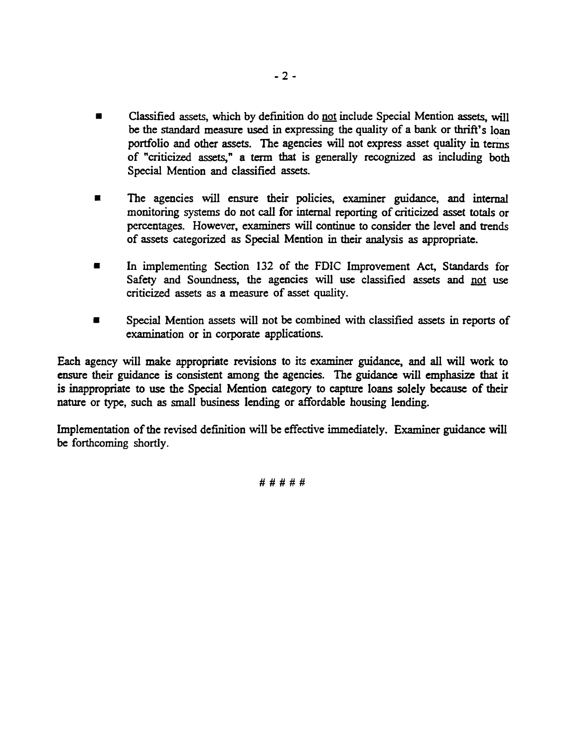- Classified assets, which by definition do not include Special Mention assets, will be the standard measure used in expressing the quality of a bank or thrift's loan portfolio and other assets. The agencies will not express asset quality in terms of "criticized assets," a term that is generally recognized as including both Special Mention and classified assets.
- The agencies will ensure their policies, examiner guidance, and internal monitoring systems do not call for internal reporting of criticized asset totals or percentages. However, examiners will continue to consider the level and trends of assets categorized as Special Mention in their analysis as appropriate.
- In implementing Section 132 of the FDIC Improvement Act, Standards for Safety and Soundness, the agencies will use classified assets and not use criticized assets as a measure of asset quality.
- Special Mention assets will not be combined with classified assets in reports of examination or in corporate applications.

Each agency will make appropriate revisions to its examiner guidance, and all will work to ensure their guidance is consistent among the agencies. The guidance will emphasize that it is inappropriate to use the Special Mention category to capture loans solely because of their nature or type, such as small business lending or affordable housing lending.

Implementation of the revised definition will be effective immediately. Examiner guidance will be forthcoming shortly.

**# # # # #**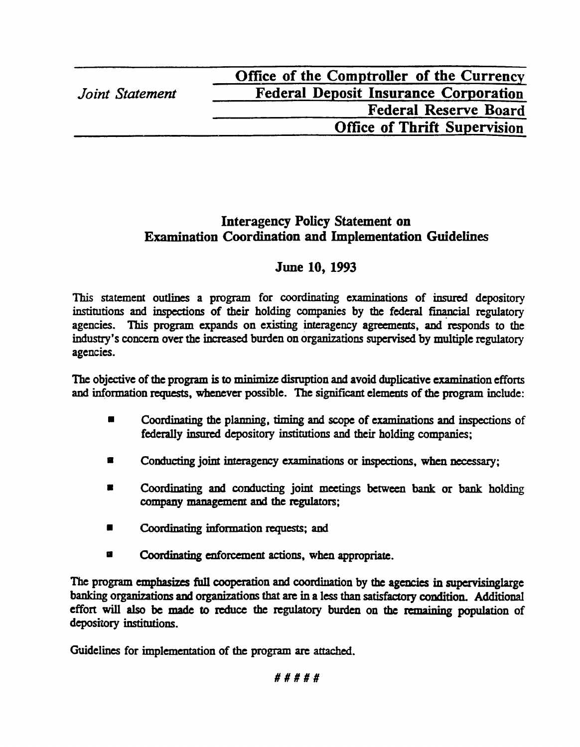| Office of the Comptroller of the Currency    |
|----------------------------------------------|
| <b>Federal Deposit Insurance Corporation</b> |
| <b>Federal Reserve Board</b>                 |
| <b>Office of Thrift Supervision</b>          |
|                                              |

# **Interagency Policy Statement on Examination Coordination and Implementation Guidelines**

# **June 10, 1993**

This statement outlines a program for coordinating examinations of insured depository institutions and inspections of their holding companies by the federal **financial** regulatory agencies. This program expands on existing interagency agreements, and responds to the industry's concern over the increased burden on organizations supervised by multiple regulatory agencies.

The objective of the program is to minimize disruption and avoid duplicative examination efforts and information requests, whenever possible. The significant elements of the program include:

- Coordinating the planning, timing and scope of **examinations** and inspections of federally insured depository institutions and their holding companies;
- Conducting joint interagency examinations or inspections, when necessary;
- Coordinating and conducting joint meetings between bank or bank holding company management and the regulators;
- **Coordinating** information requests; and
- **Coordinating** enforcement actions, when appropriate.

The program emphasizes full cooperation and coordination by the agencies in supervisinglarge banking organizations and organizations that are in a less than satisfactory condition. Additional effort will also be made to reduce the regulatory burden on the remaining population of depository institutions.

Guidelines for implementation of the program are attached.

# # # # #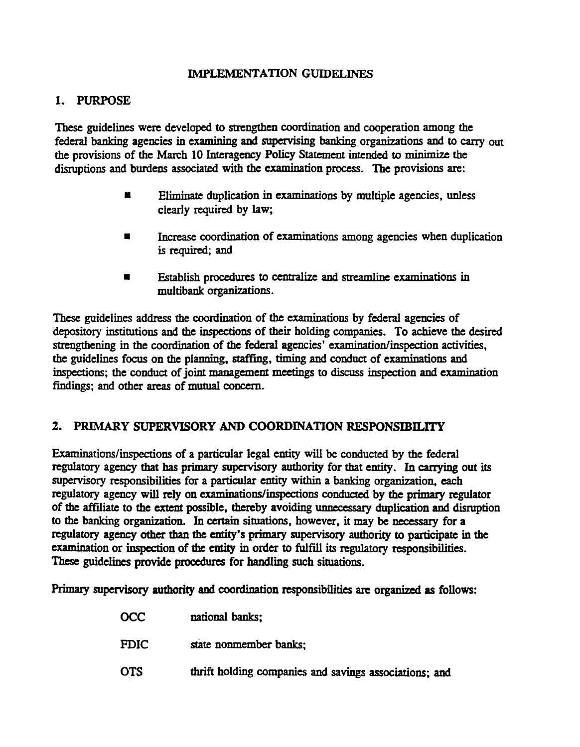## IMPLEMENTATION GUIDELINES

# 1. PURPOSE

These guidelines were developed to strengthen coordination and cooperation among the federal banking agencies in examining and supervising banking organizations and to carry out the provisions of the March 10 Interagency Policy Statement intended to **minimire** the disruptions and burdens associated with the examination process. The provisions are:

- Eliminate duplication in examinations by multiple agencies, unless clearly required by law;
- Increase coordination of examinations among agencies when duplication is required; and
- Establish procedures to centralize and **streamline examinations in** multibank organizations.

These guidelines address the coordination of the examinations by federal agencies of depository institutions and the inspections of their holding companies. To achieve the desired strengthening in the coordination of the federal agencies' examination/inspection activities, the guidelines focus on the planning, staffing, timing and conduct of examinations and inspections; the conduct of joint management meetings to discuss inspection and **examination** findings; and other areas of mutual concern.

# 2. PRIMARY SUPERVISORY AND COORDINATION RESPONSIBILITY

Examinations/inspections of a particular legal entity will be conducted by the federal regulatory agency that has primary supervisory authority for that entity. In carrying out its supervisory responsibilities for a particular entity within a banking organization, each regulatory agency will rely on examinations/inspections conducted by the primary regulator of the affiliate to the extent possible, thereby avoiding unnecessary duplication and disruption to the banking organization. In certain situations, however, it may be necessary for a regulatory agency other than the entity's primary supervisory authority to participate in the examination or inspection of the entity in order to fulfill its regulatory responsibilities. These guidelines provide procedures for handling such situations.

Primary supervisory authority and coordination responsibilities are organized as follows:

| <b>OCC</b>  | national banks;                                        |
|-------------|--------------------------------------------------------|
| <b>FDIC</b> | state nonmember banks:                                 |
| <b>OTS</b>  | thrift holding companies and savings associations; and |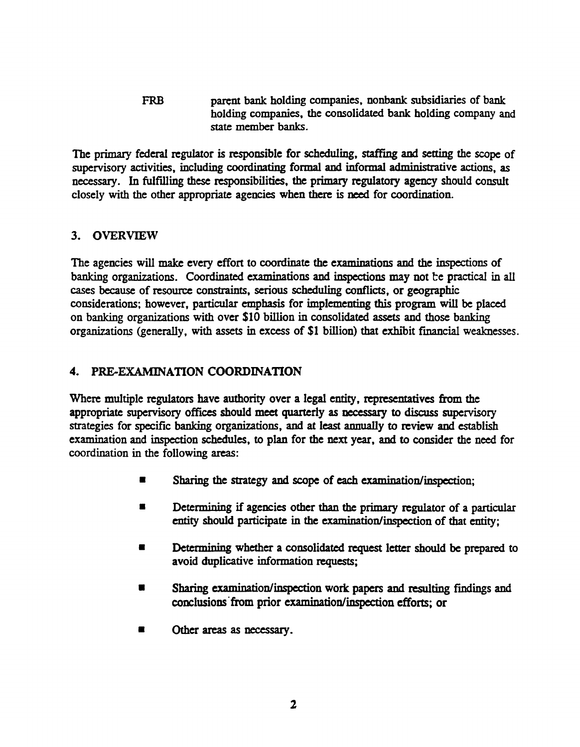**FRB parent bank holding companies, nonbank subsidiaries of bank holding companies, the consolidated bank holding company and state member banks.**

The primary federal regulator is responsible for scheduling, staffing and setting the scope of **supervisory** activities, including coordinating formal and informal administrative actions, as necessary. In fulfilling these responsibilities, the primary regulatory agency should consult closely with the other appropriate agencies when there is need for coordination.

# 3. OVERVIEW

The agencies will make every effort to coordinate the examinations and the inspections of banking organizations. Coordinated examinations and inspections may not be practical in all cases because of resource constraints, serious scheduling conflicts, or geographic considerations; however, particular emphasis for implementing this program will be placed on **hanking** organizations with over \$10 billion in consolidated assets and those banking organizations (generally, with assets in excess of \$1 billion) that exhibit financial weaknesses.

# 4. PRE-EXAMINATION COORDINATION

Where multiple regulators have authority over a legal entity, representatives from the appropriate supervisory offices should meet quarterly as necessary to discuss supervisory strategies for specific banking organizations, and at least annually to review and establish examination and inspection schedules, to plan for the next year, and to consider the need for coordination in the following areas:

- Sharing the strategy and scope of each examination/inspection;
- Determining if agencies other than the primary regulator of a particular entity should participate in the examination/inspection of that entity;
- **Determining** whether a consolidated request letter should be prepared to avoid duplicative information requests;
- Sharing examination/inspection work papers and resulting findings and conclusions from prior examination/inspection efforts; or
- Other areas as necessary.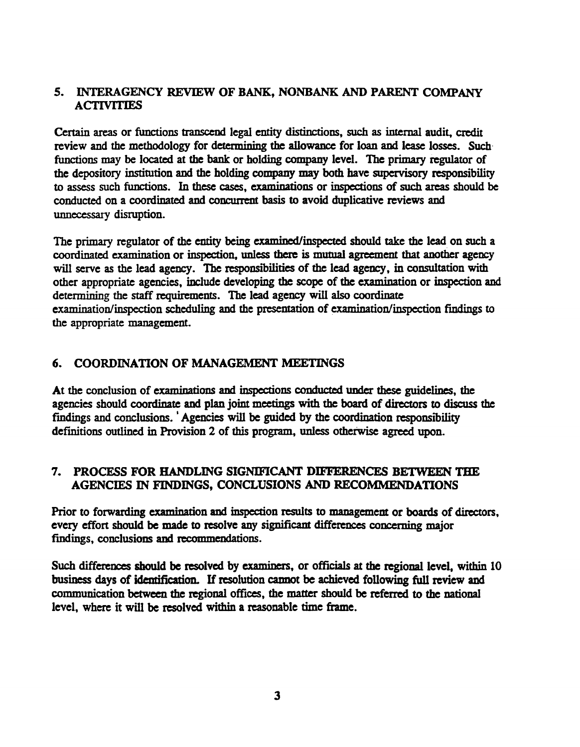## 5. INTERAGENCY REVIEW OF BANK, NONBANK AND PARENT COMPANY **ACTIVITIES**

Certain areas or functions transcend legal entity distinctions, such as internal audit, credit review and the methodology for determining the allowance for loan and lease losses. Such functions may be located at the bank or holding company level. The primary regulator of the depository institution and the holding company may both have supervisory responsibility to assess such functions. In these cases, examinations or inspections of such areas should be conducted on a coordinated and concurrent basis to avoid duplicative reviews and unnecessary disruption.

The primary regulator of the entity being examined/inspected should take the lead on such a coordinated examination or inspection, unless there is mutual agreement that another agency will serve as the lead agency. The responsibilities of the lead agency, in consultation with other appropriate agencies, include developing the scope of the examination or inspection and determining the staff requirements. The lead agency will also coordinate examination/inspection scheduling and the presentation of examination/inspection findings to the appropriate management.

# 6. COORDINATION OF MANAGEMENT MEETINGS

At the conclusion of examinations and inspections conducted under these guidelines, the agencies should coordinate and plan joint meetings with the board of directors to discuss the findings and conclusions. ' Agencies will be guided by the coordination responsibility definitions outlined in Provision 2 of this program, unless otherwise agreed upon.

## 7. PROCESS FOR HANDLING SIGNIFICANT DIFFERENCES BETWEEN THE AGENCIES IN FINDINGS, CONCLUSIONS AND RECOMMENDATIONS

Prior to forwarding examination and inspection results to management or boards of directors, every effort should be made to resolve any significant differences concerning major findings, conclusions and recommendations.

Such differences should be resolved by examiners, or officials at the regional level, within 10 business days of identification. If resolution cannot be achieved following full review and communication between the regional offices, the matter should be referred to the national level, where it will be resolved within a reasonable time frame.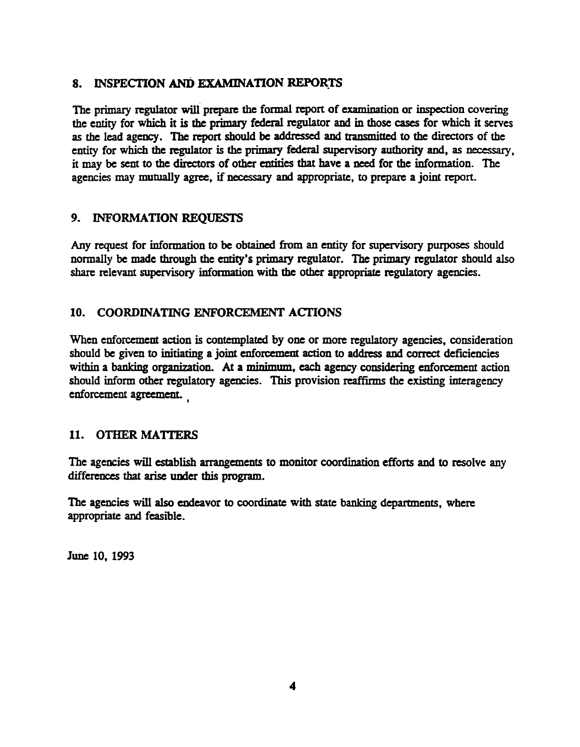## 8. INSPECTION AND EXAMINATION REPORTS

The primary regulator will prepare the formal report of examination or inspection covering the entity for which it is the primary federal regulator and in those cases for which it serves as the lead agency. The report should be addressed and transmitted to the directors of the entity for which the regulator is the primary federal supervisory authority and, as necessary, it may be sent to the directors of other entities that have a need for the information. The agencies may mutually agree, if necessary and appropriate, to prepare a joint report.

# 9. INFORMATION REQUESTS

Any request for information to be obtained from an entity for supervisory purposes should normally be made through the entity's primary regulator. The primary regulator should also share relevant supervisory information with die other appropriate regulatory agencies.

## 10. COORDINATING ENFORCEMENT ACTIONS

When enforcement action is contemplated by one or more regulatory agencies, consideration should be given to initiating a joint enforcement action to address and correct deficiencies within a banking organization. At a minimum, each agency considering enforcement action should inform other regulatory agencies. This provision reaffirms the existing interagency enforcement agreement.

# 11. OTHER MATTERS

The agencies will establish arrangements to monitor coordination efforts and to resolve any differences that arise under this program.

The agencies will also endeavor to coordinate with state banking departments, where appropriate and feasible.

June 10, 1993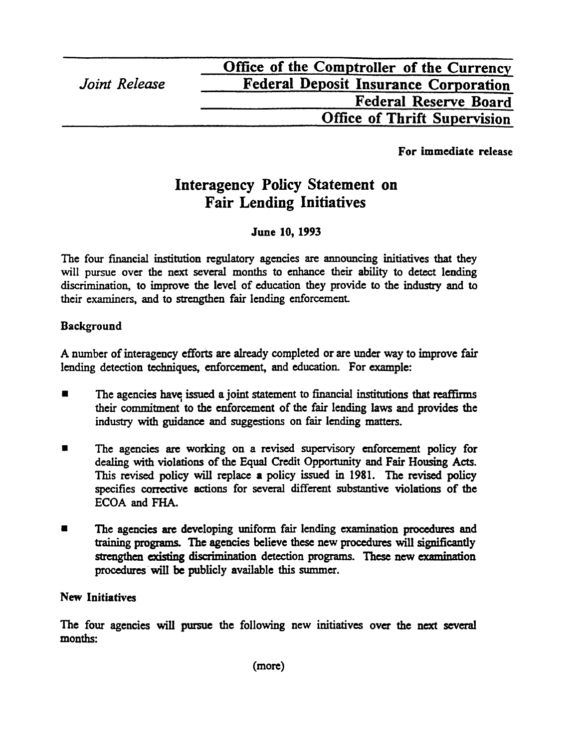For immediate release

# **Interagency Policy Statement on Fair Lending Initiatives**

# June 10, 1993

The four financial institution regulatory agencies are announcing initiatives that they will pursue over the next several months to enhance their ability to detect lending discrimination, to improve the level of education they provide to the industry and to their examiners, and to strengthen fair lending enforcement

# Background

A number of interagency efforts are already completed or are under way to improve fair lending detection techniques, enforcement, and education. For example:

- The agencies have issued a joint statement to financial institutions that reaffirms their commitment to the enforcement of the fair lending laws and provides the industry with guidance and suggestions on fair lending matters.
- The agencies are working on a revised supervisory enforcement policy for dealing with violations of the Equal Credit Opportunity and Fair Housing Acts. This revised policy will replace a policy issued in 1981. The revised policy specifies corrective actions for several different substantive violations of the ECOA and FHA.
- The agencies are developing uniform fair lending examination procedures and training programs. Hie agencies believe these new procedures will significantly strengthen existing discrimination detection programs. These new examination procedures will be publicly available this summer.

## New Initiatives

The four agencies will pursue the following new initiatives over the next several months: